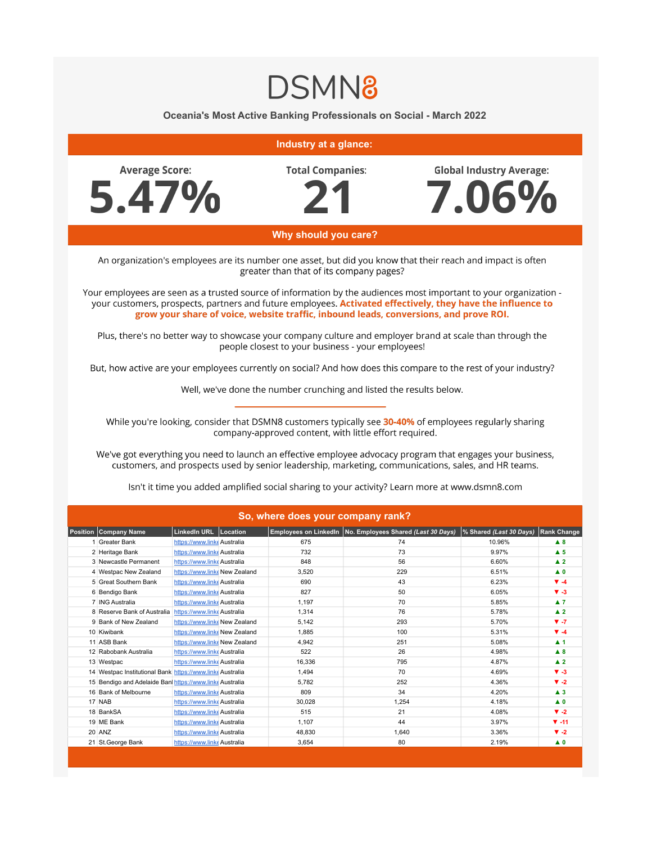## **DSMN8**

**Oceania's Most Active Banking Professionals on Social - March 2022**

## **Industry at a glance: Total Companies: Average Score: Global Industry Average:** 5.47% 7.06% **Why should you care?** An organization's employees are its number one asset, but did you know that their reach and impact is often greater than that of its company pages? Your employees are seen as a trusted source of information by the audiences most important to your organization your customers, prospects, partners and future employees. Activated effectively, they have the influence to grow your share of voice, website traffic, inbound leads, conversions, and prove ROI. Plus, there's no better way to showcase your company culture and employer brand at scale than through the people closest to your business - your employees! But, how active are your employees currently on social? And how does this compare to the rest of your industry? Well, we've done the number crunching and listed the results below. While you're looking, consider that DSMN8 customers typically see 30-40% of employees regularly sharing company-approved content, with little effort required. We've got everything you need to launch an effective employee advocacy program that engages your business, customers, and prospects used by senior leadership, marketing, communications, sales, and HR teams. Isn't it time you added amplified social sharing to your activity? Learn more at www.dsmn8.com **So, where does your company rank?** 1 Greater Bank **[https://www.linke](https://www.linkedin.com/company/greater-bank/)** Australia 675 10.96% **▲ 8** 10.96% **▲ 8**

| Position | Company Name                                              | LinkedIn URL Location         |  |        | Employees on LinkedIn No. Employees Shared (Last 30 Days) | % Shared (Last 30 Days) | <b>Rank Change</b>      |
|----------|-----------------------------------------------------------|-------------------------------|--|--------|-----------------------------------------------------------|-------------------------|-------------------------|
|          | <b>Greater Bank</b>                                       | https://www.linkeAustralia    |  | 675    | 74                                                        | 10.96%                  | $\blacktriangle$ 8      |
|          | 2 Heritage Bank                                           | https://www.linkeAustralia    |  | 732    | 73                                                        | 9.97%                   | $\blacktriangle$ 5      |
|          | 3 Newcastle Permanent                                     | https://www.linkeAustralia    |  | 848    | 56                                                        | 6.60%                   | $\blacktriangle$ 2      |
|          | 4 Westpac New Zealand                                     | https://www.linke New Zealand |  | 3,520  | 229                                                       | 6.51%                   | $\blacktriangle$ 0      |
|          | 5 Great Southern Bank                                     | https://www.linkeAustralia    |  | 690    | 43                                                        | 6.23%                   | $\Psi - 4$              |
|          | 6 Bendigo Bank                                            | https://www.linkeAustralia    |  | 827    | 50                                                        | 6.05%                   | $V - 3$                 |
|          | 7 ING Australia                                           | https://www.linkeAustralia    |  | 1,197  | 70                                                        | 5.85%                   | $\blacktriangle$ 7      |
|          | 8 Reserve Bank of Australia                               | https://www.linkeAustralia    |  | 1,314  | 76                                                        | 5.78%                   | $\blacktriangle$ 2      |
|          | 9 Bank of New Zealand                                     | https://www.linke New Zealand |  | 5,142  | 293                                                       | 5.70%                   | $V - 7$                 |
|          | 10 Kiwibank                                               | https://www.linke New Zealand |  | 1,885  | 100                                                       | 5.31%                   | $\Psi - 4$              |
|          | 11 ASB Bank                                               | https://www.linke New Zealand |  | 4,942  | 251                                                       | 5.08%                   | $\blacktriangle$ 1      |
|          | 12 Rabobank Australia                                     | https://www.linkeAustralia    |  | 522    | 26                                                        | 4.98%                   | A 8                     |
|          | 13 Westpac                                                | https://www.linke Australia   |  | 16,336 | 795                                                       | 4.87%                   | $\blacktriangle$ 2      |
|          | 14 Westpac Institutional Bank https://www.linke Australia |                               |  | 1,494  | 70                                                        | 4.69%                   | $V - 3$                 |
|          | 15 Bendigo and Adelaide Ban https://www.linke Australia   |                               |  | 5,782  | 252                                                       | 4.36%                   | $\blacktriangledown -2$ |
|          | 16 Bank of Melbourne                                      | https://www.linke Australia   |  | 809    | 34                                                        | 4.20%                   | $\blacktriangle$ 3      |
|          | 17 NAB                                                    | https://www.linkeAustralia    |  | 30,028 | 1,254                                                     | 4.18%                   | $\blacktriangle$ 0      |
|          | 18 BankSA                                                 | https://www.linke Australia   |  | 515    | 21                                                        | 4.08%                   | $\blacktriangledown -2$ |
|          | 19 ME Bank                                                | https://www.linkeAustralia    |  | 1,107  | 44                                                        | 3.97%                   | $\Psi - 11$             |
|          | 20 ANZ                                                    | https://www.linkeAustralia    |  | 48.830 | 1,640                                                     | 3.36%                   | $\blacktriangledown -2$ |
|          | 21 St.George Bank                                         | https://www.linkeAustralia    |  | 3,654  | 80                                                        | 2.19%                   | $\blacktriangle$ 0      |
|          |                                                           |                               |  |        |                                                           |                         |                         |